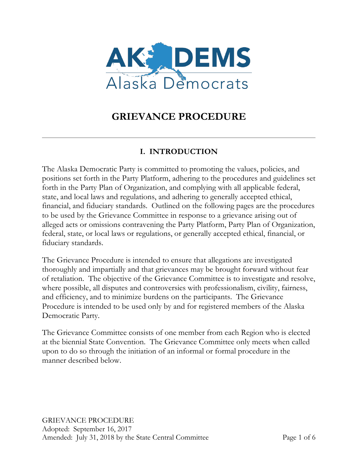

# **GRIEVANCE PROCEDURE**

# **I. INTRODUCTION**

The Alaska Democratic Party is committed to promoting the values, policies, and positions set forth in the Party Platform, adhering to the procedures and guidelines set forth in the Party Plan of Organization, and complying with all applicable federal, state, and local laws and regulations, and adhering to generally accepted ethical, financial, and fiduciary standards. Outlined on the following pages are the procedures to be used by the Grievance Committee in response to a grievance arising out of alleged acts or omissions contravening the Party Platform, Party Plan of Organization, federal, state, or local laws or regulations, or generally accepted ethical, financial, or fiduciary standards.

The Grievance Procedure is intended to ensure that allegations are investigated thoroughly and impartially and that grievances may be brought forward without fear of retaliation. The objective of the Grievance Committee is to investigate and resolve, where possible, all disputes and controversies with professionalism, civility, fairness, and efficiency, and to minimize burdens on the participants. The Grievance Procedure is intended to be used only by and for registered members of the Alaska Democratic Party.

The Grievance Committee consists of one member from each Region who is elected at the biennial State Convention. The Grievance Committee only meets when called upon to do so through the initiation of an informal or formal procedure in the manner described below.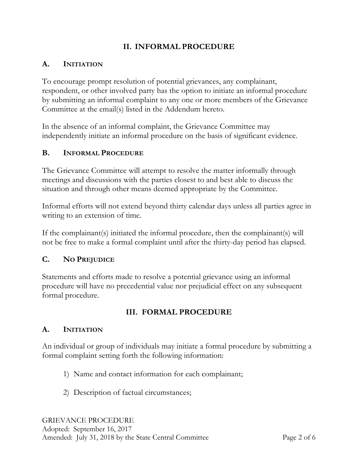### **II. INFORMAL PROCEDURE**

#### **A. INITIATION**

To encourage prompt resolution of potential grievances, any complainant, respondent, or other involved party has the option to initiate an informal procedure by submitting an informal complaint to any one or more members of the Grievance Committee at the email(s) listed in the Addendum hereto.

In the absence of an informal complaint, the Grievance Committee may independently initiate an informal procedure on the basis of significant evidence.

#### **B. INFORMAL PROCEDURE**

The Grievance Committee will attempt to resolve the matter informally through meetings and discussions with the parties closest to and best able to discuss the situation and through other means deemed appropriate by the Committee.

Informal efforts will not extend beyond thirty calendar days unless all parties agree in writing to an extension of time.

If the complainant(s) initiated the informal procedure, then the complainant(s) will not be free to make a formal complaint until after the thirty-day period has elapsed.

#### **C. NO PREJUDICE**

Statements and efforts made to resolve a potential grievance using an informal procedure will have no precedential value nor prejudicial effect on any subsequent formal procedure.

#### **III. FORMAL PROCEDURE**

#### **A. INITIATION**

An individual or group of individuals may initiate a formal procedure by submitting a formal complaint setting forth the following information:

- 1) Name and contact information for each complainant;
- 2) Description of factual circumstances;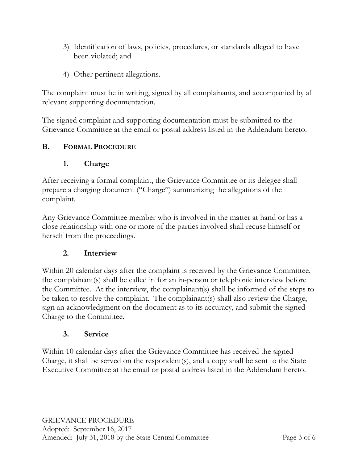- 3) Identification of laws, policies, procedures, or standards alleged to have been violated; and
- 4) Other pertinent allegations.

The complaint must be in writing, signed by all complainants, and accompanied by all relevant supporting documentation.

The signed complaint and supporting documentation must be submitted to the Grievance Committee at the email or postal address listed in the Addendum hereto.

## **B. FORMAL PROCEDURE**

### **1. Charge**

After receiving a formal complaint, the Grievance Committee or its delegee shall prepare a charging document ("Charge") summarizing the allegations of the complaint.

Any Grievance Committee member who is involved in the matter at hand or has a close relationship with one or more of the parties involved shall recuse himself or herself from the proceedings.

#### **2. Interview**

Within 20 calendar days after the complaint is received by the Grievance Committee, the complainant(s) shall be called in for an in-person or telephonic interview before the Committee. At the interview, the complainant(s) shall be informed of the steps to be taken to resolve the complaint. The complainant(s) shall also review the Charge, sign an acknowledgment on the document as to its accuracy, and submit the signed Charge to the Committee.

#### **3. Service**

Within 10 calendar days after the Grievance Committee has received the signed Charge, it shall be served on the respondent(s), and a copy shall be sent to the State Executive Committee at the email or postal address listed in the Addendum hereto.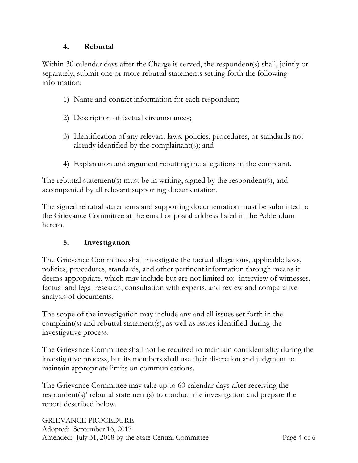#### **4. Rebuttal**

Within 30 calendar days after the Charge is served, the respondent(s) shall, jointly or separately, submit one or more rebuttal statements setting forth the following information:

- 1) Name and contact information for each respondent;
- 2) Description of factual circumstances;
- 3) Identification of any relevant laws, policies, procedures, or standards not already identified by the complainant(s); and
- 4) Explanation and argument rebutting the allegations in the complaint.

The rebuttal statement(s) must be in writing, signed by the respondent(s), and accompanied by all relevant supporting documentation.

The signed rebuttal statements and supporting documentation must be submitted to the Grievance Committee at the email or postal address listed in the Addendum hereto.

## **5. Investigation**

The Grievance Committee shall investigate the factual allegations, applicable laws, policies, procedures, standards, and other pertinent information through means it deems appropriate, which may include but are not limited to: interview of witnesses, factual and legal research, consultation with experts, and review and comparative analysis of documents.

The scope of the investigation may include any and all issues set forth in the complaint(s) and rebuttal statement(s), as well as issues identified during the investigative process.

The Grievance Committee shall not be required to maintain confidentiality during the investigative process, but its members shall use their discretion and judgment to maintain appropriate limits on communications.

The Grievance Committee may take up to 60 calendar days after receiving the respondent(s)' rebuttal statement(s) to conduct the investigation and prepare the report described below.

GRIEVANCE PROCEDURE Adopted: September 16, 2017 Amended: July 31, 2018 by the State Central Committee Page 4 of 6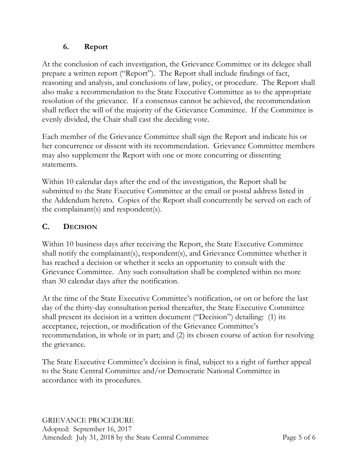## **6. Report**

At the conclusion of each investigation, the Grievance Committee or its delegee shall prepare a written report ("Report"). The Report shall include findings of fact, reasoning and analysis, and conclusions of law, policy, or procedure. The Report shall also make a recommendation to the State Executive Committee as to the appropriate resolution of the grievance. If a consensus cannot be achieved, the recommendation shall reflect the will of the majority of the Grievance Committee. If the Committee is evenly divided, the Chair shall cast the deciding vote.

Each member of the Grievance Committee shall sign the Report and indicate his or her concurrence or dissent with its recommendation. Grievance Committee members may also supplement the Report with one or more concurring or dissenting statements.

Within 10 calendar days after the end of the investigation, the Report shall be submitted to the State Executive Committee at the email or postal address listed in the Addendum hereto. Copies of the Report shall concurrently be served on each of the complainant(s) and respondent(s).

# **C. DECISION**

Within 10 business days after receiving the Report, the State Executive Committee shall notify the complainant(s), respondent(s), and Grievance Committee whether it has reached a decision or whether it seeks an opportunity to consult with the Grievance Committee. Any such consultation shall be completed within no more than 30 calendar days after the notification.

At the time of the State Executive Committee's notification, or on or before the last day of the thirty-day consultation period thereafter, the State Executive Committee shall present its decision in a written document ("Decision") detailing: (1) its acceptance, rejection, or modification of the Grievance Committee's recommendation, in whole or in part; and (2) its chosen course of action for resolving the grievance.

The State Executive Committee's decision is final, subject to a right of further appeal to the State Central Committee and/or Democratic National Committee in accordance with its procedures.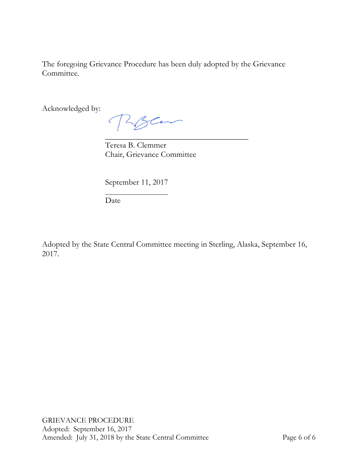The foregoing Grievance Procedure has been duly adopted by the Grievance Committee.

Acknowledged by:

Rosen

\_\_\_\_\_\_\_\_\_\_\_\_\_\_\_\_\_\_\_\_\_\_\_\_\_\_\_\_\_\_\_\_\_\_\_ Teresa B. Clemmer Chair, Grievance Committee

September 11, 2017

Date

Adopted by the State Central Committee meeting in Sterling, Alaska, September 16, 2017.